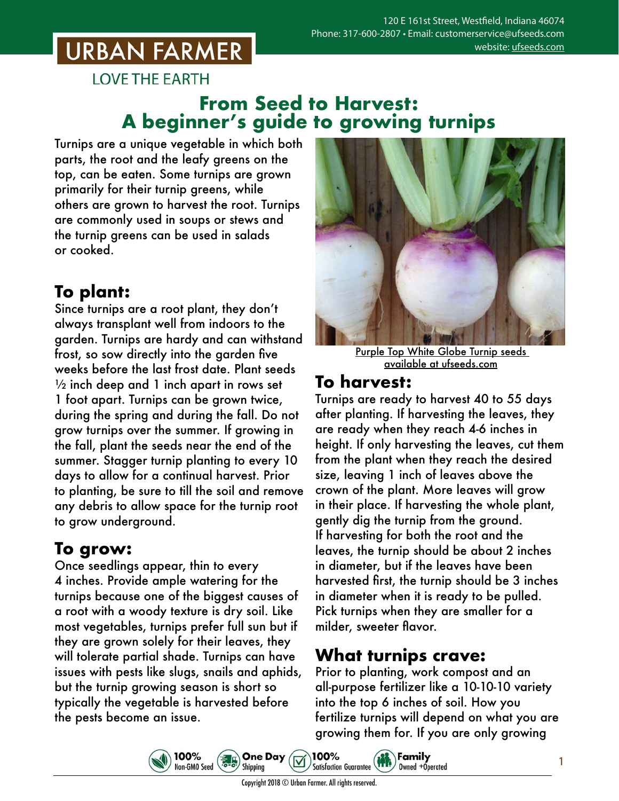# **URBAN FARMER**

**LOVE THE EARTH** 

### **From Seed to Harvest: A beginner's guide to growing turnips**

Turnips are a unique vegetable in which both parts, the root and the leafy greens on the top, can be eaten. Some turnips are grown primarily for their turnip greens, while others are grown to harvest the root. Turnips are commonly used in soups or stews and the turnip greens can be used in salads or cooked.

## **To plant:**

Since turnips are a root plant, they don't always transplant well from indoors to the garden. Turnips are hardy and can withstand frost, so sow directly into the garden five weeks before the last frost date. Plant seeds  $\frac{1}{2}$  inch deep and 1 inch apart in rows set 1 foot apart. Turnips can be grown twice, during the spring and during the fall. Do not grow turnips over the summer. If growing in the fall, plant the seeds near the end of the summer. Stagger turnip planting to every 10 days to allow for a continual harvest. Prior to planting, be sure to till the soil and remove any debris to allow space for the turnip root to grow underground.

### **To grow:**

Once seedlings appear, thin to every 4 inches. Provide ample watering for the turnips because one of the biggest causes of a root with a woody texture is dry soil. Like most vegetables, turnips prefer full sun but if they are grown solely for their leaves, they will tolerate partial shade. Turnips can have issues with pests like slugs, snails and aphids, but the turnip growing season is short so typically the vegetable is harvested before the pests become an issue.

100%

Non-GMO Seed



Purple Top White Globe Turnip seeds [available at ufseeds.com](https://www.ufseeds.com/product-category/vegetables/turnips/)

#### **To harvest:**

Turnips are ready to harvest 40 to 55 days after planting. If harvesting the leaves, they are ready when they reach 4-6 inches in height. If only harvesting the leaves, cut them from the plant when they reach the desired size, leaving 1 inch of leaves above the crown of the plant. More leaves will grow in their place. If harvesting the whole plant, gently dig the turnip from the ground. If harvesting for both the root and the leaves, the turnip should be about 2 inches in diameter, but if the leaves have been harvested first, the turnip should be 3 inches in diameter when it is ready to be pulled. Pick turnips when they are smaller for a milder, sweeter flavor.

#### **What turnips crave:**

**Family** 

Owned +Operated

Prior to planting, work compost and an all-purpose fertilizer like a 10-10-10 variety into the top 6 inches of soil. How you fertilize turnips will depend on what you are growing them for. If you are only growing

1



100%

**Satisfaction Guarantee** 

**One Day** 

Shipping